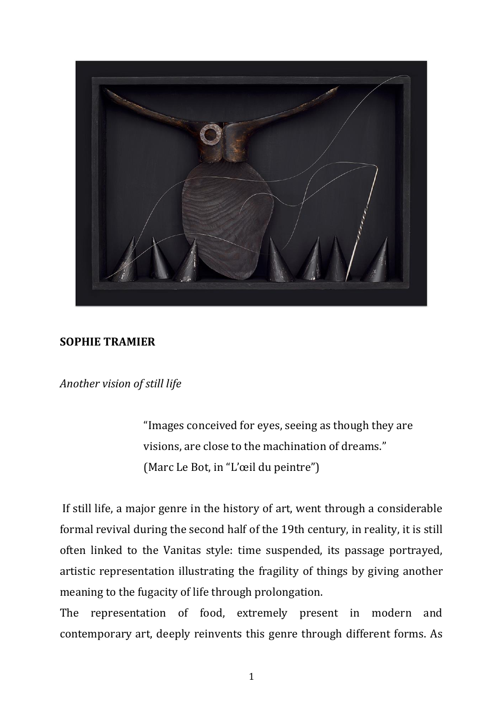

## **SOPHIE TRAMIER**

*Another vision of still life*

"Images conceived for eyes, seeing as though they are visions, are close to the machination of dreams." (Marc Le Bot, in "L'œil du peintre")

If still life, a major genre in the history of art, went through a considerable formal revival during the second half of the 19th century, in reality, it is still often linked to the Vanitas style: time suspended, its passage portrayed, artistic representation illustrating the fragility of things by giving another meaning to the fugacity of life through prolongation.

The representation of food, extremely present in modern and contemporary art, deeply reinvents this genre through different forms. As

1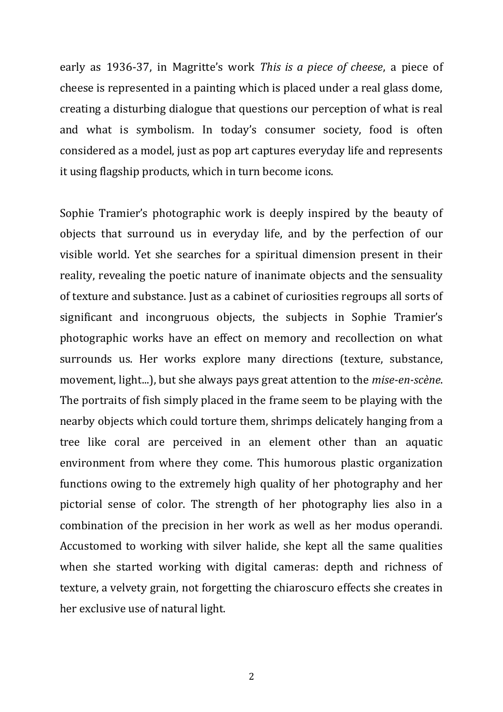early as 1936-37, in Magritte's work *This is a piece of cheese*, a piece of cheese is represented in a painting which is placed under a real glass dome, creating a disturbing dialogue that questions our perception of what is real and what is symbolism. In today's consumer society, food is often considered as a model, just as pop art captures everyday life and represents it using flagship products, which in turn become icons.

Sophie Tramier's photographic work is deeply inspired by the beauty of objects that surround us in everyday life, and by the perfection of our visible world. Yet she searches for a spiritual dimension present in their reality, revealing the poetic nature of inanimate objects and the sensuality of texture and substance. Just as a cabinet of curiosities regroups all sorts of significant and incongruous objects, the subjects in Sophie Tramier's photographic works have an effect on memory and recollection on what surrounds us. Her works explore many directions (texture, substance, movement, light...), but she always pays great attention to the *mise-en-scène*. The portraits of fish simply placed in the frame seem to be playing with the nearby objects which could torture them, shrimps delicately hanging from a tree like coral are perceived in an element other than an aquatic environment from where they come. This humorous plastic organization functions owing to the extremely high quality of her photography and her pictorial sense of color. The strength of her photography lies also in a combination of the precision in her work as well as her modus operandi. Accustomed to working with silver halide, she kept all the same qualities when she started working with digital cameras: depth and richness of texture, a velvety grain, not forgetting the chiaroscuro effects she creates in her exclusive use of natural light.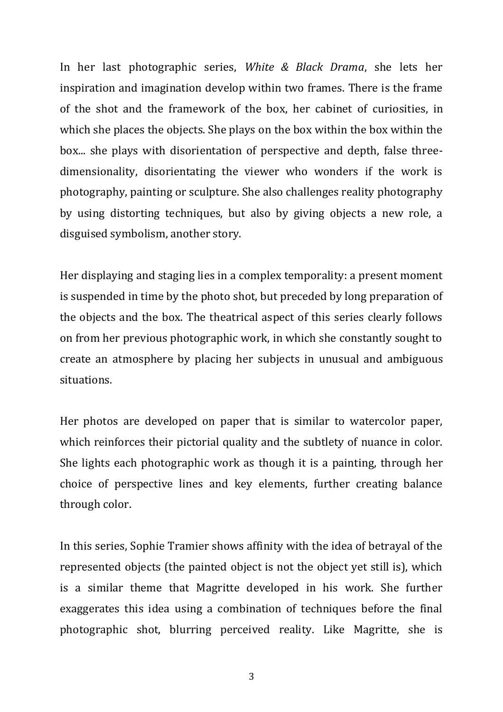In her last photographic series, *White & Black Drama*, she lets her inspiration and imagination develop within two frames. There is the frame of the shot and the framework of the box, her cabinet of curiosities, in which she places the objects. She plays on the box within the box within the box... she plays with disorientation of perspective and depth, false threedimensionality, disorientating the viewer who wonders if the work is photography, painting or sculpture. She also challenges reality photography by using distorting techniques, but also by giving objects a new role, a disguised symbolism, another story.

Her displaying and staging lies in a complex temporality: a present moment is suspended in time by the photo shot, but preceded by long preparation of the objects and the box. The theatrical aspect of this series clearly follows on from her previous photographic work, in which she constantly sought to create an atmosphere by placing her subjects in unusual and ambiguous situations.

Her photos are developed on paper that is similar to watercolor paper, which reinforces their pictorial quality and the subtlety of nuance in color. She lights each photographic work as though it is a painting, through her choice of perspective lines and key elements, further creating balance through color.

In this series, Sophie Tramier shows affinity with the idea of betrayal of the represented objects (the painted object is not the object yet still is), which is a similar theme that Magritte developed in his work. She further exaggerates this idea using a combination of techniques before the final photographic shot, blurring perceived reality. Like Magritte, she is

3